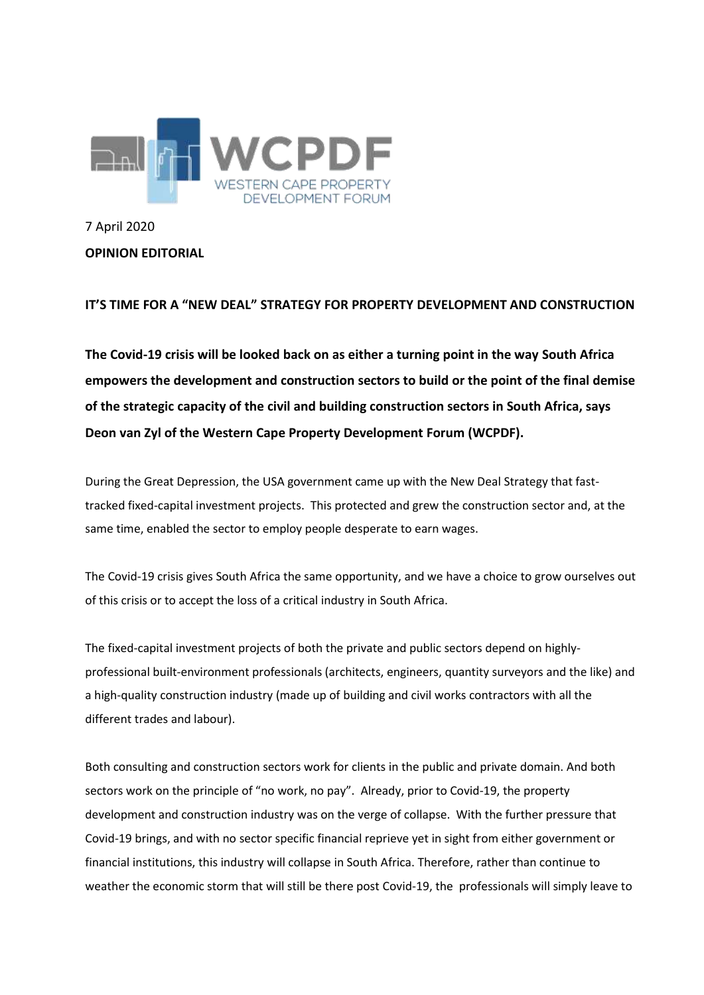

7 April 2020 **OPINION EDITORIAL**

**IT'S TIME FOR A "NEW DEAL" STRATEGY FOR PROPERTY DEVELOPMENT AND CONSTRUCTION**

**The Covid-19 crisis will be looked back on as either a turning point in the way South Africa empowers the development and construction sectors to build or the point of the final demise of the strategic capacity of the civil and building construction sectors in South Africa, says Deon van Zyl of the Western Cape Property Development Forum (WCPDF).**

During the Great Depression, the USA government came up with the New Deal Strategy that fasttracked fixed-capital investment projects. This protected and grew the construction sector and, at the same time, enabled the sector to employ people desperate to earn wages.

The Covid-19 crisis gives South Africa the same opportunity, and we have a choice to grow ourselves out of this crisis or to accept the loss of a critical industry in South Africa.

The fixed-capital investment projects of both the private and public sectors depend on highlyprofessional built-environment professionals (architects, engineers, quantity surveyors and the like) and a high-quality construction industry (made up of building and civil works contractors with all the different trades and labour).

Both consulting and construction sectors work for clients in the public and private domain. And both sectors work on the principle of "no work, no pay". Already, prior to Covid-19, the property development and construction industry was on the verge of collapse. With the further pressure that Covid-19 brings, and with no sector specific financial reprieve yet in sight from either government or financial institutions, this industry will collapse in South Africa. Therefore, rather than continue to weather the economic storm that will still be there post Covid-19, the professionals will simply leave to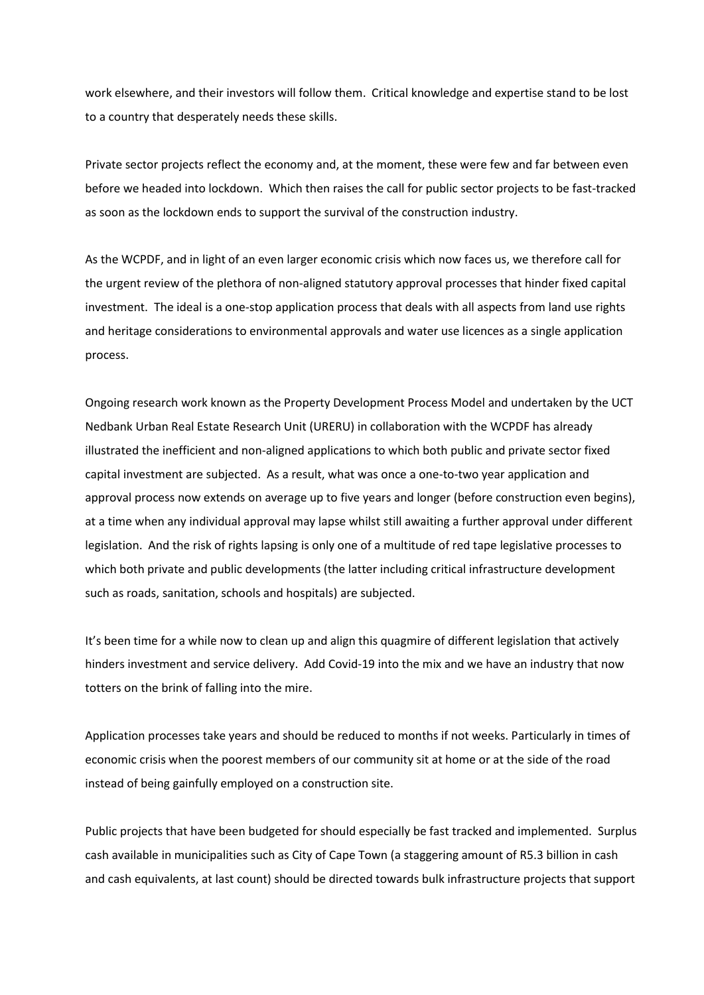work elsewhere, and their investors will follow them. Critical knowledge and expertise stand to be lost to a country that desperately needs these skills.

Private sector projects reflect the economy and, at the moment, these were few and far between even before we headed into lockdown. Which then raises the call for public sector projects to be fast-tracked as soon as the lockdown ends to support the survival of the construction industry.

As the WCPDF, and in light of an even larger economic crisis which now faces us, we therefore call for the urgent review of the plethora of non-aligned statutory approval processes that hinder fixed capital investment. The ideal is a one-stop application process that deals with all aspects from land use rights and heritage considerations to environmental approvals and water use licences as a single application process.

Ongoing research work known as the Property Development Process Model and undertaken by the UCT Nedbank Urban Real Estate Research Unit (URERU) in collaboration with the WCPDF has already illustrated the inefficient and non-aligned applications to which both public and private sector fixed capital investment are subjected. As a result, what was once a one-to-two year application and approval process now extends on average up to five years and longer (before construction even begins), at a time when any individual approval may lapse whilst still awaiting a further approval under different legislation. And the risk of rights lapsing is only one of a multitude of red tape legislative processes to which both private and public developments (the latter including critical infrastructure development such as roads, sanitation, schools and hospitals) are subjected.

It's been time for a while now to clean up and align this quagmire of different legislation that actively hinders investment and service delivery. Add Covid-19 into the mix and we have an industry that now totters on the brink of falling into the mire.

Application processes take years and should be reduced to months if not weeks. Particularly in times of economic crisis when the poorest members of our community sit at home or at the side of the road instead of being gainfully employed on a construction site.

Public projects that have been budgeted for should especially be fast tracked and implemented. Surplus cash available in municipalities such as City of Cape Town (a staggering amount of R5.3 billion in cash and cash equivalents, at last count) should be directed towards bulk infrastructure projects that support